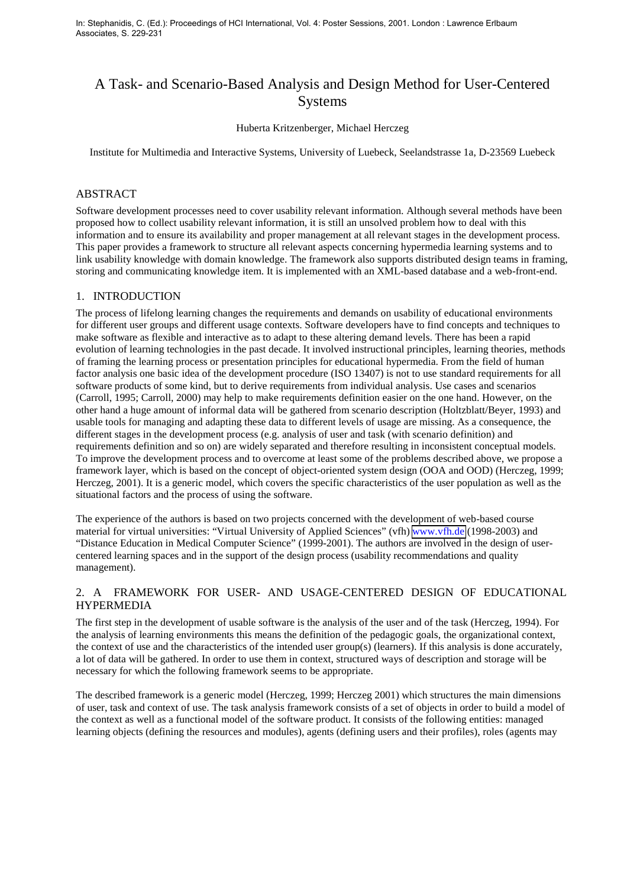In: Stephanidis, C. (Ed.): Proceedings of HCI International, Vol. 4: Poster Sessions, 2001. London : Lawrence Erlbaum Associates, S. 229-231

# A Task- and Scenario-Based Analysis and Design Method for User-Centered **Systems**

#### Huberta Kritzenberger, Michael Herczeg

Institute for Multimedia and Interactive Systems, University of Luebeck, Seelandstrasse 1a, D-23569 Luebeck

## ABSTRACT

Software development processes need to cover usability relevant information. Although several methods have been proposed how to collect usability relevant information, it is still an unsolved problem how to deal with this information and to ensure its availability and proper management at all relevant stages in the development process. This paper provides a framework to structure all relevant aspects concerning hypermedia learning systems and to link usability knowledge with domain knowledge. The framework also supports distributed design teams in framing, storing and communicating knowledge item. It is implemented with an XML-based database and a web-front-end.

## 1. INTRODUCTION

The process of lifelong learning changes the requirements and demands on usability of educational environments for different user groups and different usage contexts. Software developers have to find concepts and techniques to make software as flexible and interactive as to adapt to these altering demand levels. There has been a rapid evolution of learning technologies in the past decade. It involved instructional principles, learning theories, methods of framing the learning process or presentation principles for educational hypermedia. From the field of human factor analysis one basic idea of the development procedure (ISO 13407) is not to use standard requirements for all software products of some kind, but to derive requirements from individual analysis. Use cases and scenarios (Carroll, 1995; Carroll, 2000) may help to make requirements definition easier on the one hand. However, on the other hand a huge amount of informal data will be gathered from scenario description (Holtzblatt/Beyer, 1993) and usable tools for managing and adapting these data to different levels of usage are missing. As a consequence, the different stages in the development process (e.g. analysis of user and task (with scenario definition) and requirements definition and so on) are widely separated and therefore resulting in inconsistent conceptual models. To improve the development process and to overcome at least some of the problems described above, we propose a framework layer, which is based on the concept of object-oriented system design (OOA and OOD) (Herczeg, 1999; Herczeg, 2001). It is a generic model, which covers the specific characteristics of the user population as well as the situational factors and the process of using the software.

The experience of the authors is based on two projects concerned with the development of web-based course material for virtual universities: "Virtual University of Applied Sciences" (vfh) [www.vfh.de](http://www.vfh.de/) (1998-2003) and "Distance Education in Medical Computer Science" (1999-2001). The authors are involved in the design of usercentered learning spaces and in the support of the design process (usability recommendations and quality management).

## 2. A FRAMEWORK FOR USER- AND USAGE-CENTERED DESIGN OF EDUCATIONAL HYPERMEDIA

The first step in the development of usable software is the analysis of the user and of the task (Herczeg, 1994). For the analysis of learning environments this means the definition of the pedagogic goals, the organizational context, the context of use and the characteristics of the intended user group(s) (learners). If this analysis is done accurately, a lot of data will be gathered. In order to use them in context, structured ways of description and storage will be necessary for which the following framework seems to be appropriate.

The described framework is a generic model (Herczeg, 1999; Herczeg 2001) which structures the main dimensions of user, task and context of use. The task analysis framework consists of a set of objects in order to build a model of the context as well as a functional model of the software product. It consists of the following entities: managed learning objects (defining the resources and modules), agents (defining users and their profiles), roles (agents may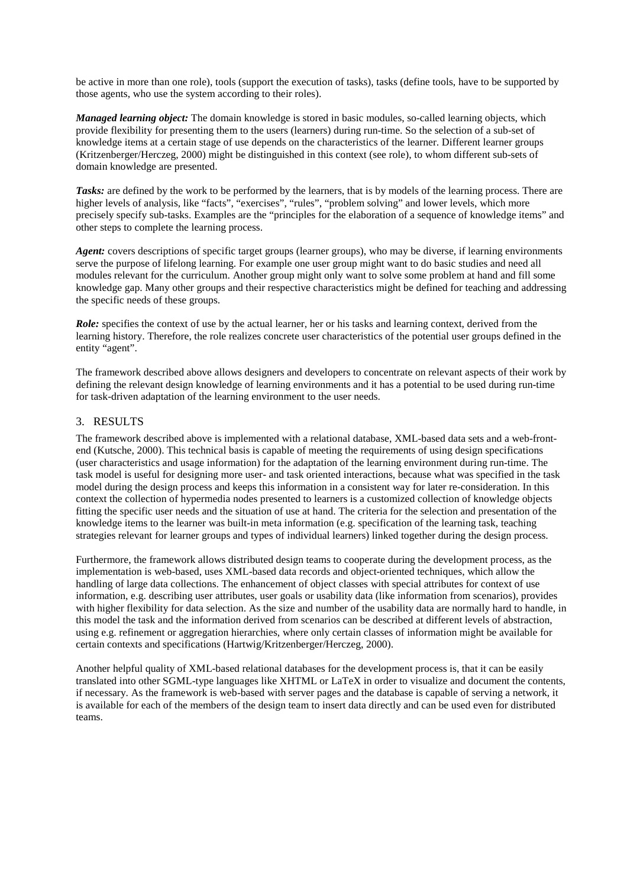be active in more than one role), tools (support the execution of tasks), tasks (define tools, have to be supported by those agents, who use the system according to their roles).

*Managed learning object:* The domain knowledge is stored in basic modules, so-called learning objects, which provide flexibility for presenting them to the users (learners) during run-time. So the selection of a sub-set of knowledge items at a certain stage of use depends on the characteristics of the learner. Different learner groups (Kritzenberger/Herczeg, 2000) might be distinguished in this context (see role), to whom different sub-sets of domain knowledge are presented.

*Tasks:* are defined by the work to be performed by the learners, that is by models of the learning process. There are higher levels of analysis, like "facts", "exercises", "rules", "problem solving" and lower levels, which more precisely specify sub-tasks. Examples are the "principles for the elaboration of a sequence of knowledge items" and other steps to complete the learning process.

*Agent:* covers descriptions of specific target groups (learner groups), who may be diverse, if learning environments serve the purpose of lifelong learning. For example one user group might want to do basic studies and need all modules relevant for the curriculum. Another group might only want to solve some problem at hand and fill some knowledge gap. Many other groups and their respective characteristics might be defined for teaching and addressing the specific needs of these groups.

*Role:* specifies the context of use by the actual learner, her or his tasks and learning context, derived from the learning history. Therefore, the role realizes concrete user characteristics of the potential user groups defined in the entity "agent".

The framework described above allows designers and developers to concentrate on relevant aspects of their work by defining the relevant design knowledge of learning environments and it has a potential to be used during run-time for task-driven adaptation of the learning environment to the user needs.

### 3. RESULTS

The framework described above is implemented with a relational database, XML-based data sets and a web-frontend (Kutsche, 2000). This technical basis is capable of meeting the requirements of using design specifications (user characteristics and usage information) for the adaptation of the learning environment during run-time. The task model is useful for designing more user- and task oriented interactions, because what was specified in the task model during the design process and keeps this information in a consistent way for later re-consideration. In this context the collection of hypermedia nodes presented to learners is a customized collection of knowledge objects fitting the specific user needs and the situation of use at hand. The criteria for the selection and presentation of the knowledge items to the learner was built-in meta information (e.g. specification of the learning task, teaching strategies relevant for learner groups and types of individual learners) linked together during the design process.

Furthermore, the framework allows distributed design teams to cooperate during the development process, as the implementation is web-based, uses XML-based data records and object-oriented techniques, which allow the handling of large data collections. The enhancement of object classes with special attributes for context of use information, e.g. describing user attributes, user goals or usability data (like information from scenarios), provides with higher flexibility for data selection. As the size and number of the usability data are normally hard to handle, in this model the task and the information derived from scenarios can be described at different levels of abstraction, using e.g. refinement or aggregation hierarchies, where only certain classes of information might be available for certain contexts and specifications (Hartwig/Kritzenberger/Herczeg, 2000).

Another helpful quality of XML-based relational databases for the development process is, that it can be easily translated into other SGML-type languages like XHTML or LaTeX in order to visualize and document the contents, if necessary. As the framework is web-based with server pages and the database is capable of serving a network, it is available for each of the members of the design team to insert data directly and can be used even for distributed teams.